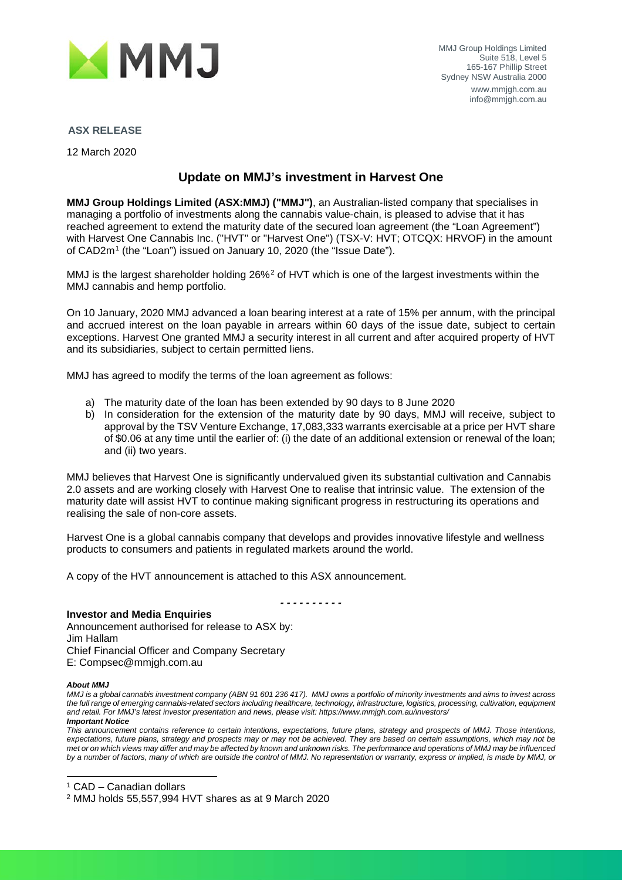

### **ASX RELEASE**

12 March 2020

## **Update on MMJ's investment in Harvest One**

**MMJ Group Holdings Limited (ASX:MMJ) ("MMJ")**, an Australian-listed company that specialises in managing a portfolio of investments along the cannabis value-chain, is pleased to advise that it has reached agreement to extend the maturity date of the secured loan agreement (the "Loan Agreement") with Harvest One Cannabis Inc. ("HVT" or "Harvest One") (TSX-V: HVT; OTCQX: HRVOF) in the amount of CAD2m<sup>[1](#page-0-0)</sup> (the "Loan") issued on January 10, 2020 (the "Issue Date").

MMJ is the largest shareholder holding [2](#page-0-1)6%<sup>2</sup> of HVT which is one of the largest investments within the MMJ cannabis and hemp portfolio.

On 10 January, 2020 MMJ advanced a loan bearing interest at a rate of 15% per annum, with the principal and accrued interest on the loan payable in arrears within 60 days of the issue date, subject to certain exceptions. Harvest One granted MMJ a security interest in all current and after acquired property of HVT and its subsidiaries, subject to certain permitted liens.

MMJ has agreed to modify the terms of the loan agreement as follows:

- a) The maturity date of the loan has been extended by 90 days to 8 June 2020
- b) In consideration for the extension of the maturity date by 90 days, MMJ will receive, subject to approval by the TSV Venture Exchange, 17,083,333 warrants exercisable at a price per HVT share of \$0.06 at any time until the earlier of: (i) the date of an additional extension or renewal of the loan; and (ii) two years.

MMJ believes that Harvest One is significantly undervalued given its substantial cultivation and Cannabis 2.0 assets and are working closely with Harvest One to realise that intrinsic value. The extension of the maturity date will assist HVT to continue making significant progress in restructuring its operations and realising the sale of non-core assets.

Harvest One is a global cannabis company that develops and provides innovative lifestyle and wellness products to consumers and patients in regulated markets around the world.

*- - - - - - - - - -*

A copy of the HVT announcement is attached to this ASX announcement.

**Investor and Media Enquiries** Announcement authorised for release to ASX by: Jim Hallam Chief Financial Officer and Company Secretary E: Compsec@mmjgh.com.au

#### *About MMJ*

*MMJ is a global cannabis investment company (ABN 91 601 236 417). MMJ owns a portfolio of minority investments and aims to invest across the full range of emerging cannabis-related sectors including healthcare, technology, infrastructure, logistics, processing, cultivation, equipment and retail. For MMJ's latest investor presentation and news, please visit: https://www.mmjgh.com.au/investors/ Important Notice*

*This announcement contains reference to certain intentions, expectations, future plans, strategy and prospects of MMJ. Those intentions, expectations, future plans, strategy and prospects may or may not be achieved. They are based on certain assumptions, which may not be met or on which views may differ and may be affected by known and unknown risks. The performance and operations of MMJ may be influenced by a number of factors, many of which are outside the control of MMJ. No representation or warranty, express or implied, is made by MMJ, or* 

<span id="page-0-0"></span><sup>1</sup> CAD – Canadian dollars

<span id="page-0-1"></span><sup>2</sup> MMJ holds 55,557,994 HVT shares as at 9 March 2020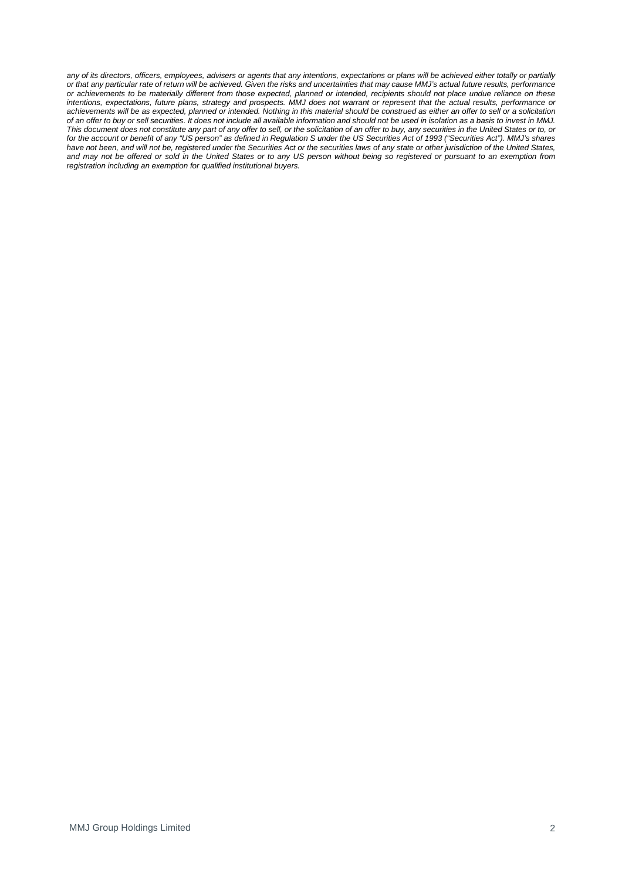any of its directors, officers, employees, advisers or agents that any intentions, expectations or plans will be achieved either totally or partially *or that any particular rate of return will be achieved. Given the risks and uncertainties that may cause MMJ's actual future results, performance or achievements to be materially different from those expected, planned or intended, recipients should not place undue reliance on these intentions, expectations, future plans, strategy and prospects. MMJ does not warrant or represent that the actual results, performance or achievements will be as expected, planned or intended. Nothing in this material should be construed as either an offer to sell or a solicitation of an offer to buy or sell securities. It does not include all available information and should not be used in isolation as a basis to invest in MMJ. This document does not constitute any part of any offer to sell, or the solicitation of an offer to buy, any securities in the United States or to, or for the account or benefit of any "US person" as defined in Regulation S under the US Securities Act of 1993 ("Securities Act"). MMJ's shares*  have not been, and will not be, registered under the Securities Act or the securities laws of any state or other jurisdiction of the United States, *and may not be offered or sold in the United States or to any US person without being so registered or pursuant to an exemption from registration including an exemption for qualified institutional buyers.*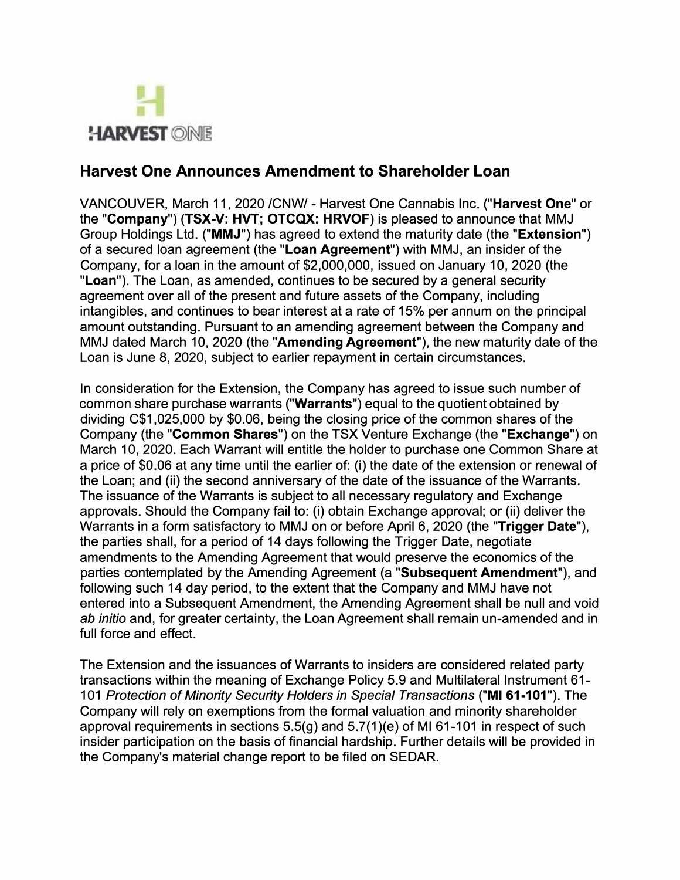

# **Harvest One Announces Amendment to Shareholder Loan**

VANCOUVER, March 11, 2020 /CNW/ - Harvest One Cannabis Inc. **("Harvest One"** or the **"Company") (TSX-V: HVT; OTCQX: HRVOF)** is pleased to announce that MMJ Group Holdings Ltd. **("MMJ")** has agreed to extend the maturity date (the **"Extension")**  of a secured loan agreement (the **"Loan Agreement")** with MMJ, an insider of the Company, for a loan in the amount of \$2,000,000, issued on January 10, 2020 (the **"Loan").** The Loan, as amended, continues to be secured by a general security agreement over all of the present and future assets of the Company, including intangibles, and continues to bear interest at a rate of 15% per annum on the principal amount outstanding. Pursuant to an amending agreement between the Company and MMJ dated March 10, 2020 (the **"Amending Agreement"),** the new maturity date of the Loan is June 8, 2020, subject to earlier repayment in certain circumstances.

In consideration for the Extension, the Company has agreed to issue such number of common share purchase warrants **("Warrants")** equal to the quotient obtained by dividing C\$1,025,000 by \$0.06, being the closing price of the common shares of the Company (the **"Common Shares")** on the TSX Venture Exchange (the **"Exchange")** on March 10, 2020. Each Warrant will entitle the holder to purchase one Common Share at a price of \$0.06 at any time until the earlier of: (i) the date of the extension or renewal of the Loan; and (ii) the second anniversary of the date of the issuance of the Warrants. The issuance of the Warrants is subject to all necessary regulatory and Exchange approvals. Should the Company fail to: (i) obtain Exchange approval; or (ii) deliver the Warrants in a form satisfactory to MMJ on or before April 6, 2020 (the **"Trigger Date"),**  the parties shall, for a period of 14 days following the Trigger Date, negotiate amendments to the Amending Agreement that would preserve the economics of the parties contemplated by the Amending Agreement (a **"Subsequent Amendment"),** and following such 14 day period, to the extent that the Company and MMJ have not entered into a Subsequent Amendment, the Amending Agreement shall be null and void *ab initio* and, for greater certainty, the Loan Agreement shall remain un-amended and in full force and effect.

The Extension and the issuances of Warrants to insiders are considered related party transactions within the meaning of Exchange Policy 5.9 and Multilateral Instrument 61- 101 *Protection of Minority Security Holders in Special Transactions* **("Ml 61-101").** The Company will rely on exemptions from the formal valuation and minority shareholder approval requirements in sections 5.5(g) and 5.7(1 )(e) of Ml 61-101 in respect of such insider participation on the basis of financial hardship. Further details will be provided in the Company's material change report to be filed on SEDAR.